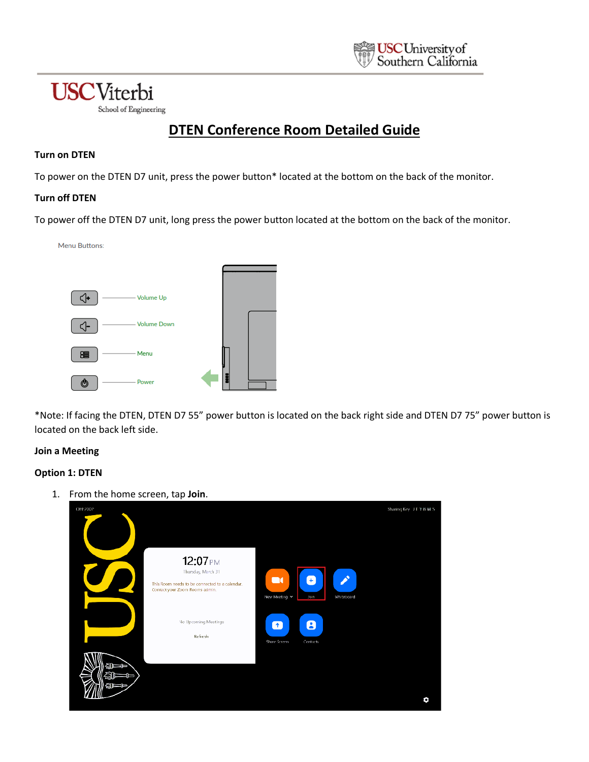

# **DTEN Conference Room Detailed Guide**

### **Turn on DTEN**

**USC**Viterbi

School of Engineering

To power on the DTEN D7 unit, press the power button\* located at the bottom on the back of the monitor.

## **Turn off DTEN**

To power off the DTEN D7 unit, long press the power button located at the bottom on the back of the monitor.



\*Note: If facing the DTEN, DTEN D7 55" power button is located on the back right side and DTEN D7 75" power button is located on the back left side.

#### **Join a Meeting**

# **Option 1: DTEN**

1. From the home screen, tap **Join**.

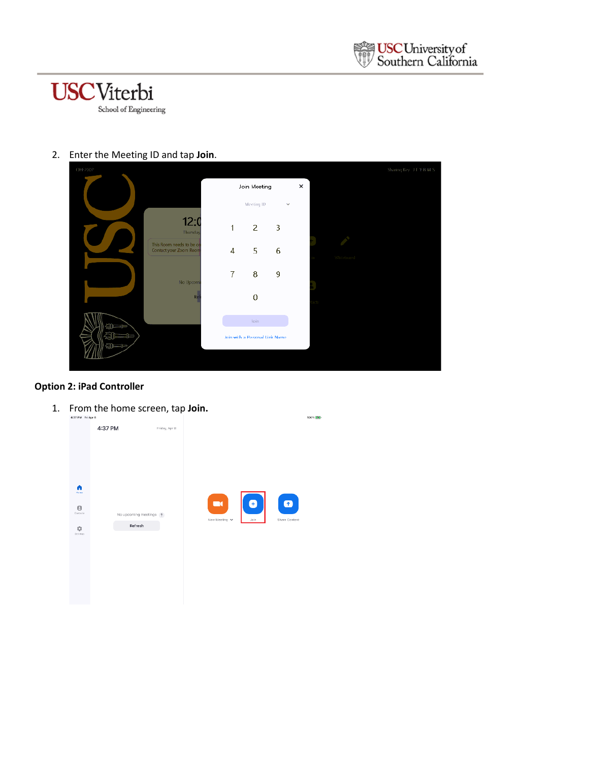



2. Enter the Meeting ID and tap **Join**.

| OHE200P |                                                    |   |                                |   |   |            | Sharing Key, J.T.Y.B.M.S. |
|---------|----------------------------------------------------|---|--------------------------------|---|---|------------|---------------------------|
|         |                                                    |   | Join Meeting                   |   | × |            |                           |
|         |                                                    |   | Meeting ID                     | v |   |            |                           |
|         | 12:<br>Thursday                                    | 1 | 2                              | 3 |   |            |                           |
|         | This Room needs to be ca<br>Contact your Zoom Room | 4 | 5                              | 6 |   | Whitehoard |                           |
|         | No Upcomi                                          | 7 | 8                              | 9 |   |            |                           |
|         | Re                                                 |   | $\theta$                       |   |   |            |                           |
| al –    |                                                    |   | loin.                          |   |   |            |                           |
| ΞT      |                                                    |   | Join with a Personal Link Name |   |   |            |                           |
|         |                                                    |   |                                |   |   |            |                           |

# **Option 2: iPad Controller**

1. From the home screen, tap **Join.**

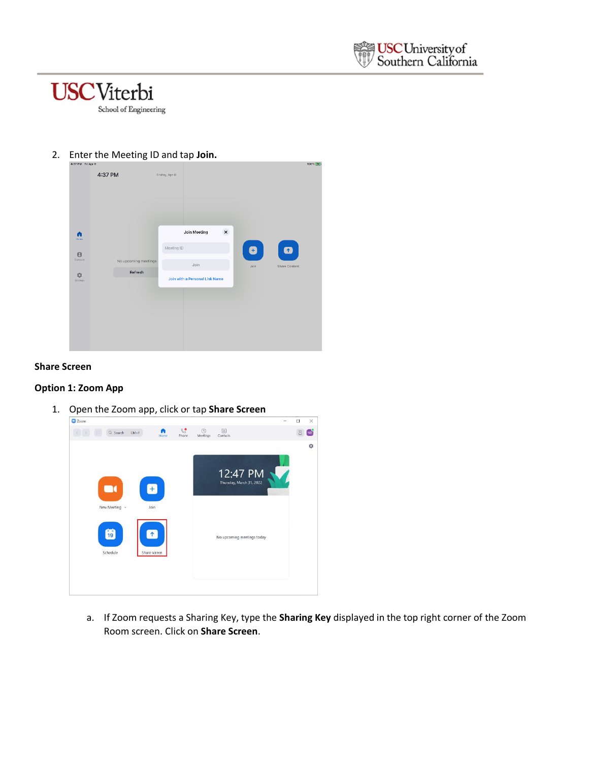



#### 2. Enter the Meeting ID and tap **Join.**



#### **Share Screen**

#### **Option 1: Zoom App**

1. Open the Zoom app, click or tap **Share Screen**



a. If Zoom requests a Sharing Key, type the **Sharing Key** displayed in the top right corner of the Zoom Room screen. Click on **Share Screen**.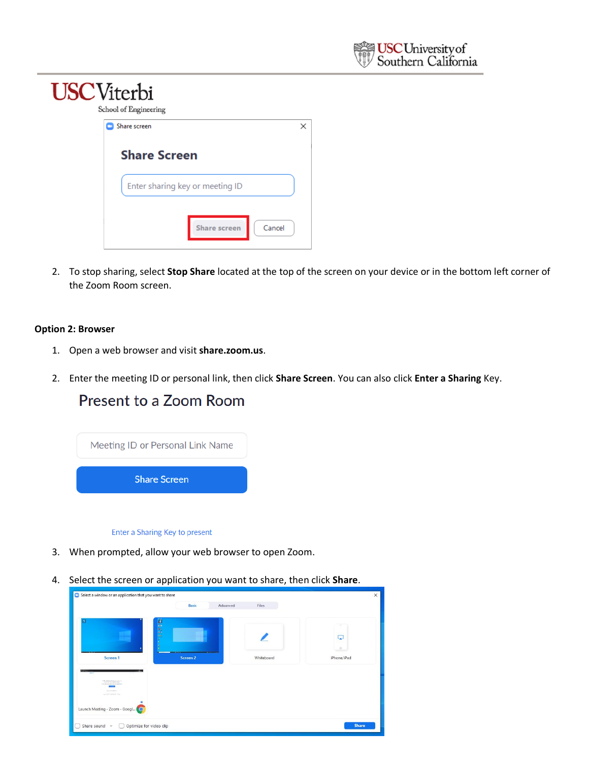

| <b>USC</b> Viterbi | School of Engineering                                            |   |
|--------------------|------------------------------------------------------------------|---|
|                    | Share screen<br><b>Share Screen</b>                              | × |
|                    | Enter sharing key or meeting ID<br>Cancel<br><b>Share screen</b> |   |

2. To stop sharing, select **Stop Share** located at the top of the screen on your device or in the bottom left corner of the Zoom Room screen.

#### **Option 2: Browser**

- 1. Open a web browser and visit **share.zoom.us**.
- 2. Enter the meeting ID or personal link, then click **Share Screen**. You can also click **Enter a Sharing** Key.

# Present to a Zoom Room

| Meeting ID or Personal Link Name |  |  |  |  |  |
|----------------------------------|--|--|--|--|--|
| <b>Share Screen</b>              |  |  |  |  |  |
|                                  |  |  |  |  |  |

#### Enter a Sharing Key to present

- 3. When prompted, allow your web browser to open Zoom.
- 4. Select the screen or application you want to share, then click **Share**.

|                                                                                                     | Advanced<br><b>Basic</b>                                   | Files      |             |
|-----------------------------------------------------------------------------------------------------|------------------------------------------------------------|------------|-------------|
| п                                                                                                   | <b>Mices</b>                                               |            |             |
|                                                                                                     |                                                            |            | Ω           |
| <b><i><u>PERSONAL PROPERTY</u></i></b>                                                              | <b>DOMESTICS</b><br><b>CONTRACTOR</b><br><b>D</b> (ARTIST) |            | $\circ$     |
| Screen 1                                                                                            | Screen 2                                                   | Whiteboard | iPhone/iPad |
| modulations from the top<br>Continued by a control to the distance<br>SAFEREES,<br>ankwitchminister |                                                            |            |             |
|                                                                                                     |                                                            |            |             |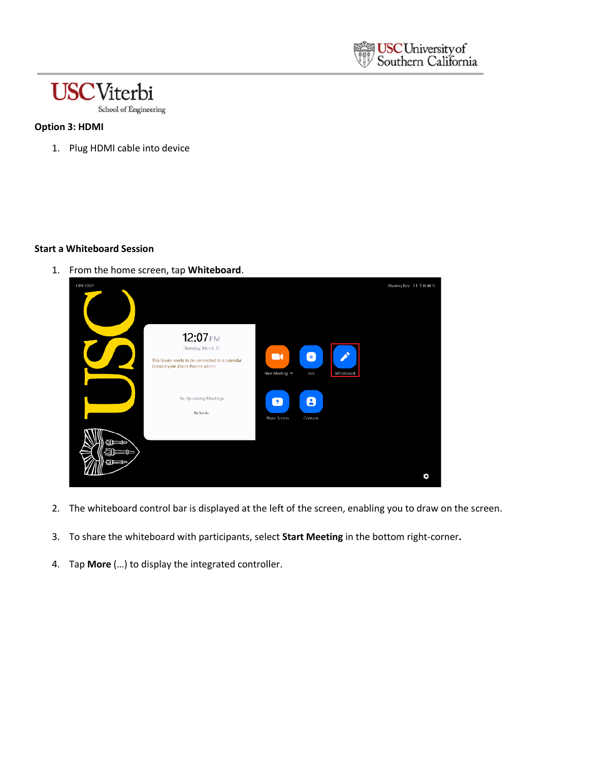



## **Option 3: HDMI**

1. Plug HDMI cable into device

#### **Start a Whiteboard Session**

1. From the home screen, tap **Whiteboard**.



- 2. The whiteboard control bar is displayed at the left of the screen, enabling you to draw on the screen.
- 3. To share the whiteboard with participants, select **Start Meeting** in the bottom right-corner**.**
- 4. Tap **More** (…) to display the integrated controller.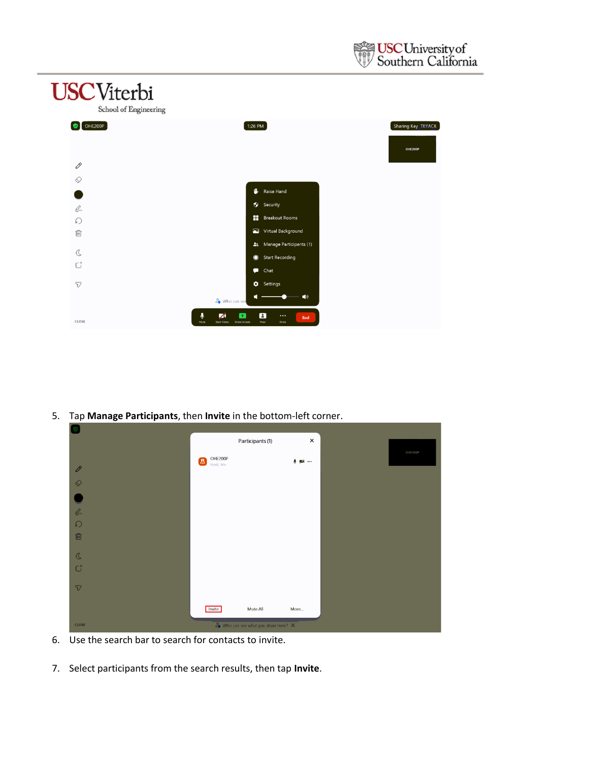



5. Tap **Manage Participants**, then **Invite** in the bottom-left corner.

|                           |                                     | Participants (1)                                                            | $\pmb{\times}$         |         |
|---------------------------|-------------------------------------|-----------------------------------------------------------------------------|------------------------|---------|
| 0                         | OHE200P<br>$\mathbf{B}$<br>Host, Me |                                                                             | $\bullet$ $\mathbb{Z}$ | OHE200P |
| $\Diamond$                |                                     |                                                                             |                        |         |
|                           |                                     |                                                                             |                        |         |
| $\frac{1}{6}$<br>$\Omega$ |                                     |                                                                             |                        |         |
| 画                         |                                     |                                                                             |                        |         |
| $\mathcal{C}$             |                                     |                                                                             |                        |         |
| $\mathsf{C}^{\mathsf{+}}$ |                                     |                                                                             |                        |         |
| $\triangledown$           |                                     |                                                                             |                        |         |
| <b>CLOSE</b>              | Invite                              | <b>Mute All</b><br>$\frac{6}{50}$ Who can see what you share here? $\times$ | More                   |         |

- 6. Use the search bar to search for contacts to invite.
- 7. Select participants from the search results, then tap **Invite**.